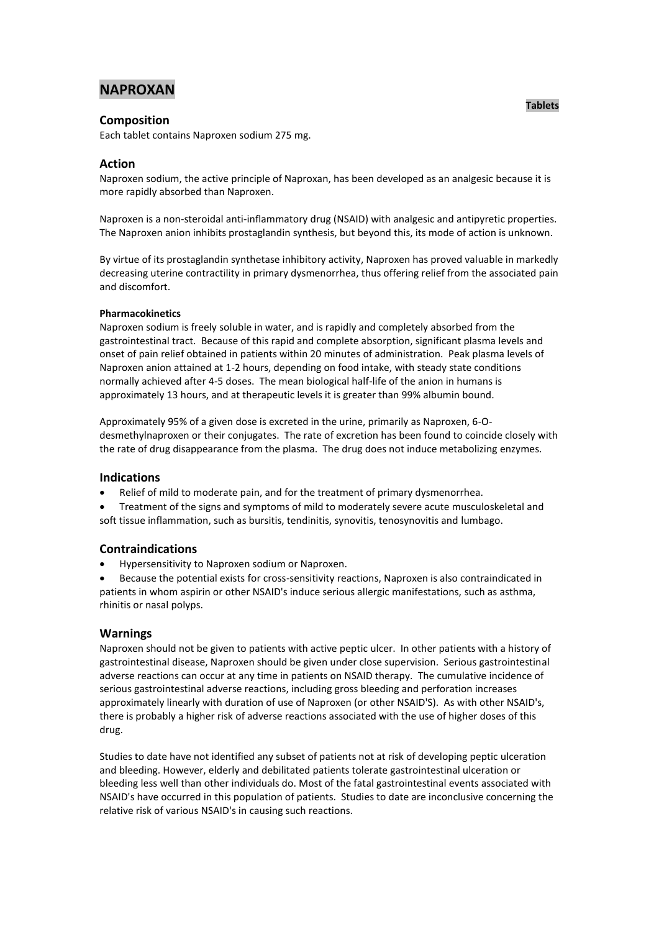# **NAPROXAN**

## **Composition**

Each tablet contains Naproxen sodium 275 mg.

## **Action**

Naproxen sodium, the active principle of Naproxan, has been developed as an analgesic because it is more rapidly absorbed than Naproxen.

Naproxen is a non-steroidal anti-inflammatory drug (NSAID) with analgesic and antipyretic properties. The Naproxen anion inhibits prostaglandin synthesis, but beyond this, its mode of action is unknown.

By virtue of its prostaglandin synthetase inhibitory activity, Naproxen has proved valuable in markedly decreasing uterine contractility in primary dysmenorrhea, thus offering relief from the associated pain and discomfort.

### **Pharmacokinetics**

Naproxen sodium is freely soluble in water, and is rapidly and completely absorbed from the gastrointestinal tract. Because of this rapid and complete absorption, significant plasma levels and onset of pain relief obtained in patients within 20 minutes of administration. Peak plasma levels of Naproxen anion attained at 1-2 hours, depending on food intake, with steady state conditions normally achieved after 4-5 doses. The mean biological half-life of the anion in humans is approximately 13 hours, and at therapeutic levels it is greater than 99% albumin bound.

Approximately 95% of a given dose is excreted in the urine, primarily as Naproxen, 6-Odesmethylnaproxen or their conjugates. The rate of excretion has been found to coincide closely with the rate of drug disappearance from the plasma. The drug does not induce metabolizing enzymes.

## **Indications**

Relief of mild to moderate pain, and for the treatment of primary dysmenorrhea.

 Treatment of the signs and symptoms of mild to moderately severe acute musculoskeletal and soft tissue inflammation, such as bursitis, tendinitis, synovitis, tenosynovitis and lumbago.

## **Contraindications**

Hypersensitivity to Naproxen sodium or Naproxen.

 Because the potential exists for cross-sensitivity reactions, Naproxen is also contraindicated in patients in whom aspirin or other NSAID's induce serious allergic manifestations, such as asthma, rhinitis or nasal polyps.

## **Warnings**

Naproxen should not be given to patients with active peptic ulcer. In other patients with a history of gastrointestinal disease, Naproxen should be given under close supervision. Serious gastrointestinal adverse reactions can occur at any time in patients on NSAID therapy. The cumulative incidence of serious gastrointestinal adverse reactions, including gross bleeding and perforation increases approximately linearly with duration of use of Naproxen (or other NSAID'S). As with other NSAID's, there is probably a higher risk of adverse reactions associated with the use of higher doses of this drug.

Studies to date have not identified any subset of patients not at risk of developing peptic ulceration and bleeding. However, elderly and debilitated patients tolerate gastrointestinal ulceration or bleeding less well than other individuals do. Most of the fatal gastrointestinal events associated with NSAID's have occurred in this population of patients. Studies to date are inconclusive concerning the relative risk of various NSAID's in causing such reactions.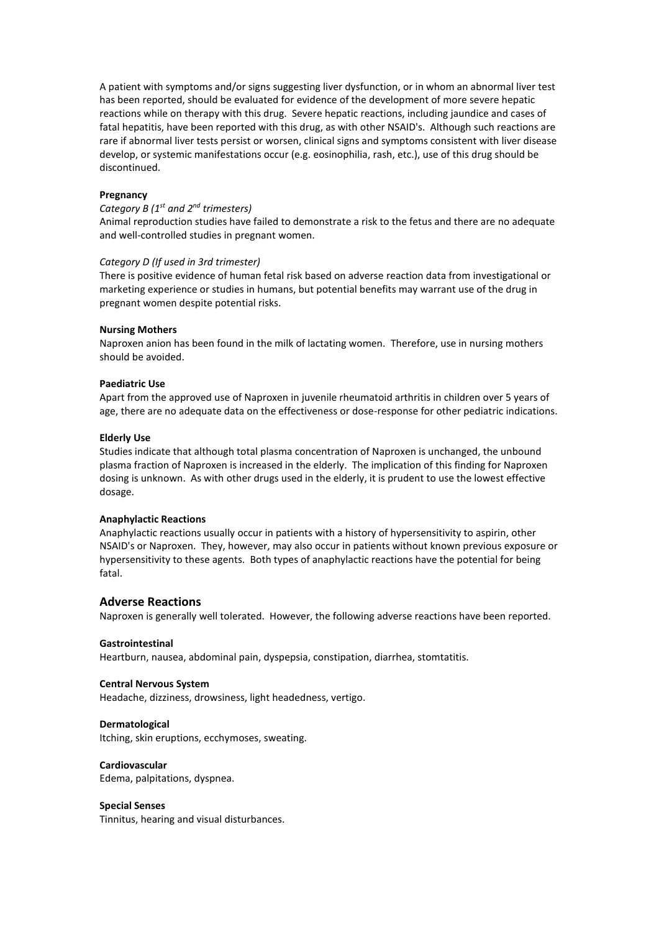A patient with symptoms and/or signs suggesting liver dysfunction, or in whom an abnormal liver test has been reported, should be evaluated for evidence of the development of more severe hepatic reactions while on therapy with this drug. Severe hepatic reactions, including jaundice and cases of fatal hepatitis, have been reported with this drug, as with other NSAID's. Although such reactions are rare if abnormal liver tests persist or worsen, clinical signs and symptoms consistent with liver disease develop, or systemic manifestations occur (e.g. eosinophilia, rash, etc.), use of this drug should be discontinued.

### **Pregnancy**

### *Category B (1 st and 2nd trimesters)*

Animal reproduction studies have failed to demonstrate a risk to the fetus and there are no adequate and well-controlled studies in pregnant women.

#### *Category D (If used in 3rd trimester)*

There is positive evidence of human fetal risk based on adverse reaction data from investigational or marketing experience or studies in humans, but potential benefits may warrant use of the drug in pregnant women despite potential risks.

#### **Nursing Mothers**

Naproxen anion has been found in the milk of lactating women. Therefore, use in nursing mothers should be avoided.

#### **Paediatric Use**

Apart from the approved use of Naproxen in juvenile rheumatoid arthritis in children over 5 years of age, there are no adequate data on the effectiveness or dose-response for other pediatric indications.

#### **Elderly Use**

Studies indicate that although total plasma concentration of Naproxen is unchanged, the unbound plasma fraction of Naproxen is increased in the elderly. The implication of this finding for Naproxen dosing is unknown. As with other drugs used in the elderly, it is prudent to use the lowest effective dosage.

#### **Anaphylactic Reactions**

Anaphylactic reactions usually occur in patients with a history of hypersensitivity to aspirin, other NSAID's or Naproxen. They, however, may also occur in patients without known previous exposure or hypersensitivity to these agents. Both types of anaphylactic reactions have the potential for being fatal.

### **Adverse Reactions**

Naproxen is generally well tolerated. However, the following adverse reactions have been reported.

#### **Gastrointestinal**

Heartburn, nausea, abdominal pain, dyspepsia, constipation, diarrhea, stomtatitis.

#### **Central Nervous System**

Headache, dizziness, drowsiness, light headedness, vertigo.

#### **Dermatological**

Itching, skin eruptions, ecchymoses, sweating.

#### **Cardiovascular**

Edema, palpitations, dyspnea.

#### **Special Senses**

Tinnitus, hearing and visual disturbances.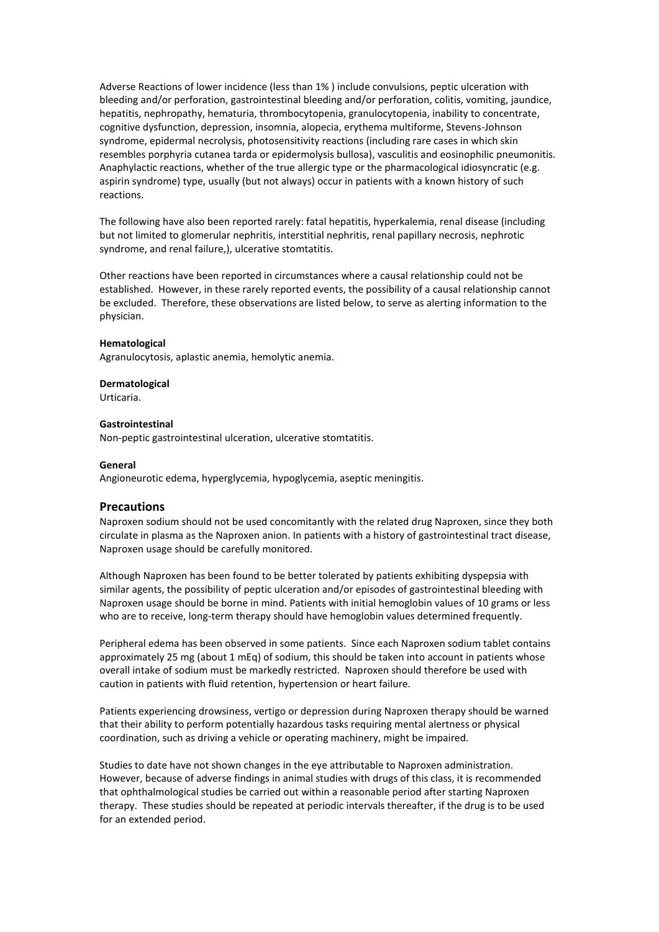Adverse Reactions of lower incidence (less than 1% ) include convulsions, peptic ulceration with bleeding and/or perforation, gastrointestinal bleeding and/or perforation, colitis, vomiting, jaundice, hepatitis, nephropathy, hematuria, thrombocytopenia, granulocytopenia, inability to concentrate, cognitive dysfunction, depression, insomnia, alopecia, erythema multiforme, Stevens-Johnson syndrome, epidermal necrolysis, photosensitivity reactions (including rare cases in which skin resembles porphyria cutanea tarda or epidermolysis bullosa), vasculitis and eosinophilic pneumonitis. Anaphylactic reactions, whether of the true allergic type or the pharmacological idiosyncratic (e.g. aspirin syndrome) type, usually (but not always) occur in patients with a known history of such reactions.

The following have also been reported rarely: fatal hepatitis, hyperkalemia, renal disease (including but not limited to glomerular nephritis, interstitial nephritis, renal papillary necrosis, nephrotic syndrome, and renal failure,), ulcerative stomtatitis.

Other reactions have been reported in circumstances where a causal relationship could not be established. However, in these rarely reported events, the possibility of a causal relationship cannot be excluded. Therefore, these observations are listed below, to serve as alerting information to the physician.

#### **Hematological**

Agranulocytosis, aplastic anemia, hemolytic anemia.

#### **Dermatological**

Urticaria.

#### **Gastrointestinal**

Non-peptic gastrointestinal ulceration, ulcerative stomtatitis.

#### **General**

Angioneurotic edema, hyperglycemia, hypoglycemia, aseptic meningitis.

## **Precautions**

Naproxen sodium should not be used concomitantly with the related drug Naproxen, since they both circulate in plasma as the Naproxen anion. In patients with a history of gastrointestinal tract disease, Naproxen usage should be carefully monitored.

Although Naproxen has been found to be better tolerated by patients exhibiting dyspepsia with similar agents, the possibility of peptic ulceration and/or episodes of gastrointestinal bleeding with Naproxen usage should be borne in mind. Patients with initial hemoglobin values of 10 grams or less who are to receive, long-term therapy should have hemoglobin values determined frequently.

Peripheral edema has been observed in some patients. Since each Naproxen sodium tablet contains approximately 25 mg (about 1 mEq) of sodium, this should be taken into account in patients whose overall intake of sodium must be markedly restricted. Naproxen should therefore be used with caution in patients with fluid retention, hypertension or heart failure.

Patients experiencing drowsiness, vertigo or depression during Naproxen therapy should be warned that their ability to perform potentially hazardous tasks requiring mental alertness or physical coordination, such as driving a vehicle or operating machinery, might be impaired.

Studies to date have not shown changes in the eye attributable to Naproxen administration. However, because of adverse findings in animal studies with drugs of this class, it is recommended that ophthalmological studies be carried out within a reasonable period after starting Naproxen therapy. These studies should be repeated at periodic intervals thereafter, if the drug is to be used for an extended period.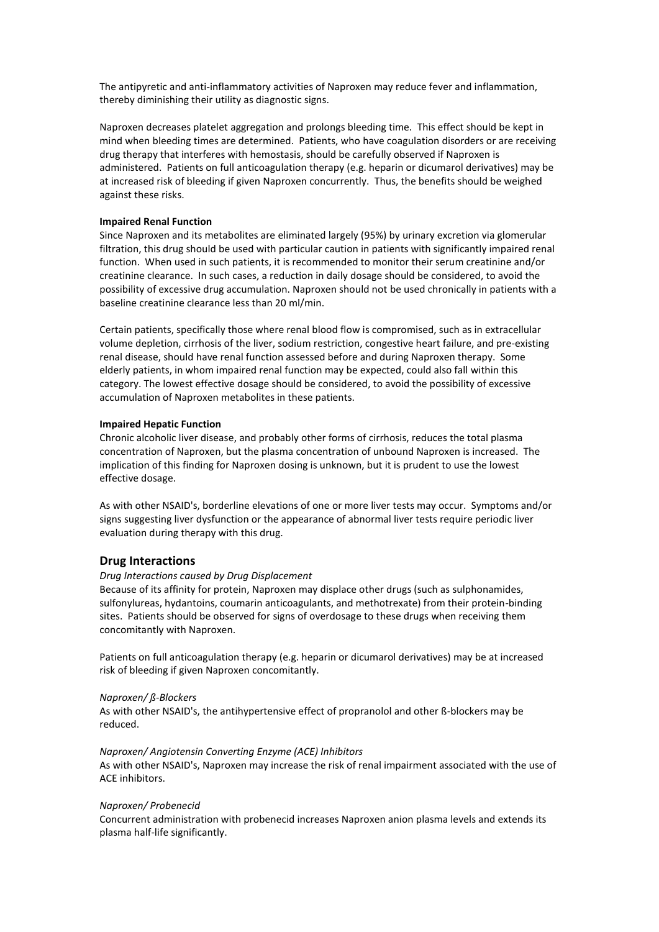The antipyretic and anti-inflammatory activities of Naproxen may reduce fever and inflammation, thereby diminishing their utility as diagnostic signs.

Naproxen decreases platelet aggregation and prolongs bleeding time. This effect should be kept in mind when bleeding times are determined. Patients, who have coagulation disorders or are receiving drug therapy that interferes with hemostasis, should be carefully observed if Naproxen is administered. Patients on full anticoagulation therapy (e.g. heparin or dicumarol derivatives) may be at increased risk of bleeding if given Naproxen concurrently. Thus, the benefits should be weighed against these risks.

#### **Impaired Renal Function**

Since Naproxen and its metabolites are eliminated largely (95%) by urinary excretion via glomerular filtration, this drug should be used with particular caution in patients with significantly impaired renal function. When used in such patients, it is recommended to monitor their serum creatinine and/or creatinine clearance. In such cases, a reduction in daily dosage should be considered, to avoid the possibility of excessive drug accumulation. Naproxen should not be used chronically in patients with a baseline creatinine clearance less than 20 ml/min.

Certain patients, specifically those where renal blood flow is compromised, such as in extracellular volume depletion, cirrhosis of the liver, sodium restriction, congestive heart failure, and pre-existing renal disease, should have renal function assessed before and during Naproxen therapy. Some elderly patients, in whom impaired renal function may be expected, could also fall within this category. The lowest effective dosage should be considered, to avoid the possibility of excessive accumulation of Naproxen metabolites in these patients.

#### **Impaired Hepatic Function**

Chronic alcoholic liver disease, and probably other forms of cirrhosis, reduces the total plasma concentration of Naproxen, but the plasma concentration of unbound Naproxen is increased. The implication of this finding for Naproxen dosing is unknown, but it is prudent to use the lowest effective dosage.

As with other NSAID's, borderline elevations of one or more liver tests may occur. Symptoms and/or signs suggesting liver dysfunction or the appearance of abnormal liver tests require periodic liver evaluation during therapy with this drug.

### **Drug Interactions**

### *Drug Interactions caused by Drug Displacement*

Because of its affinity for protein, Naproxen may displace other drugs (such as sulphonamides, sulfonylureas, hydantoins, coumarin anticoagulants, and methotrexate) from their protein-binding sites. Patients should be observed for signs of overdosage to these drugs when receiving them concomitantly with Naproxen.

Patients on full anticoagulation therapy (e.g. heparin or dicumarol derivatives) may be at increased risk of bleeding if given Naproxen concomitantly.

#### *Naproxen/ ß-Blockers*

As with other NSAID's, the antihypertensive effect of propranolol and other ß-blockers may be reduced.

#### *Naproxen/ Angiotensin Converting Enzyme (ACE) Inhibitors*

As with other NSAID's, Naproxen may increase the risk of renal impairment associated with the use of ACE inhibitors.

#### *Naproxen/ Probenecid*

Concurrent administration with probenecid increases Naproxen anion plasma levels and extends its plasma half-life significantly.